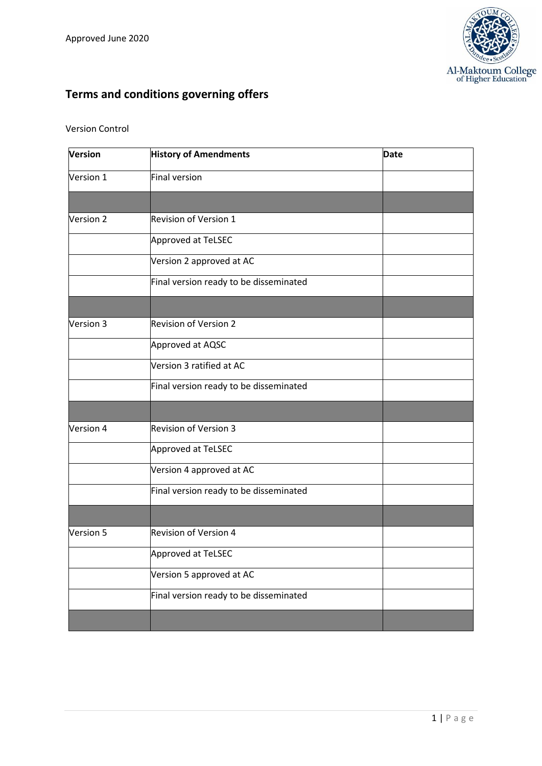

# **Terms and conditions governing offers**

#### Version Control

| <b>Version</b> | <b>History of Amendments</b>           | <b>Date</b> |
|----------------|----------------------------------------|-------------|
| Version 1      | <b>Final version</b>                   |             |
|                |                                        |             |
| Version 2      | Revision of Version 1                  |             |
|                | Approved at TeLSEC                     |             |
|                | Version 2 approved at AC               |             |
|                | Final version ready to be disseminated |             |
|                |                                        |             |
| Version 3      | <b>Revision of Version 2</b>           |             |
|                | Approved at AQSC                       |             |
|                | Version 3 ratified at AC               |             |
|                | Final version ready to be disseminated |             |
|                |                                        |             |
| Version 4      | <b>Revision of Version 3</b>           |             |
|                | Approved at TeLSEC                     |             |
|                | Version 4 approved at AC               |             |
|                | Final version ready to be disseminated |             |
|                |                                        |             |
| Version 5      | <b>Revision of Version 4</b>           |             |
|                | Approved at TeLSEC                     |             |
|                | Version 5 approved at AC               |             |
|                | Final version ready to be disseminated |             |
|                |                                        |             |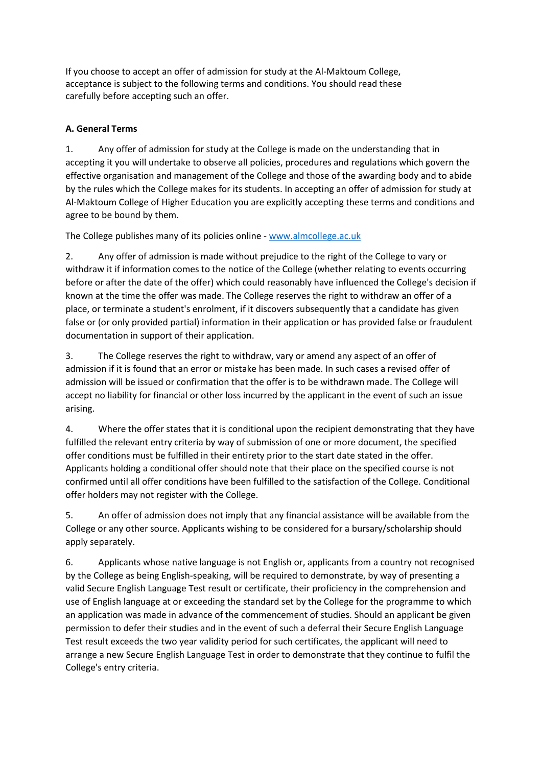If you choose to accept an offer of admission for study at the Al-Maktoum College, acceptance is subject to the following terms and conditions. You should read these carefully before accepting such an offer.

#### **A. General Terms**

1. Any offer of admission for study at the College is made on the understanding that in accepting it you will undertake to observe all policies, procedures and regulations which govern the effective organisation and management of the College and those of the awarding body and to abide by the rules which the College makes for its students. In accepting an offer of admission for study at Al-Maktoum College of Higher Education you are explicitly accepting these terms and conditions and agree to be bound by them.

The College publishes many of its policies online - [www.almcollege.ac.uk](http://www.almcollege.ac.uk/)

2. Any offer of admission is made without prejudice to the right of the College to vary or withdraw it if information comes to the notice of the College (whether relating to events occurring before or after the date of the offer) which could reasonably have influenced the College's decision if known at the time the offer was made. The College reserves the right to withdraw an offer of a place, or terminate a student's enrolment, if it discovers subsequently that a candidate has given false or (or only provided partial) information in their application or has provided false or fraudulent documentation in support of their application.

3. The College reserves the right to withdraw, vary or amend any aspect of an offer of admission if it is found that an error or mistake has been made. In such cases a revised offer of admission will be issued or confirmation that the offer is to be withdrawn made. The College will accept no liability for financial or other loss incurred by the applicant in the event of such an issue arising.

4. Where the offer states that it is conditional upon the recipient demonstrating that they have fulfilled the relevant entry criteria by way of submission of one or more document, the specified offer conditions must be fulfilled in their entirety prior to the start date stated in the offer. Applicants holding a conditional offer should note that their place on the specified course is not confirmed until all offer conditions have been fulfilled to the satisfaction of the College. Conditional offer holders may not register with the College.

5. An offer of admission does not imply that any financial assistance will be available from the College or any other source. Applicants wishing to be considered for a bursary/scholarship should apply separately.

6. Applicants whose native language is not English or, applicants from a country not recognised by the College as being English-speaking, will be required to demonstrate, by way of presenting a valid Secure English Language Test result or certificate, their proficiency in the comprehension and use of English language at or exceeding the standard set by the College for the programme to which an application was made in advance of the commencement of studies. Should an applicant be given permission to defer their studies and in the event of such a deferral their Secure English Language Test result exceeds the two year validity period for such certificates, the applicant will need to arrange a new Secure English Language Test in order to demonstrate that they continue to fulfil the College's entry criteria.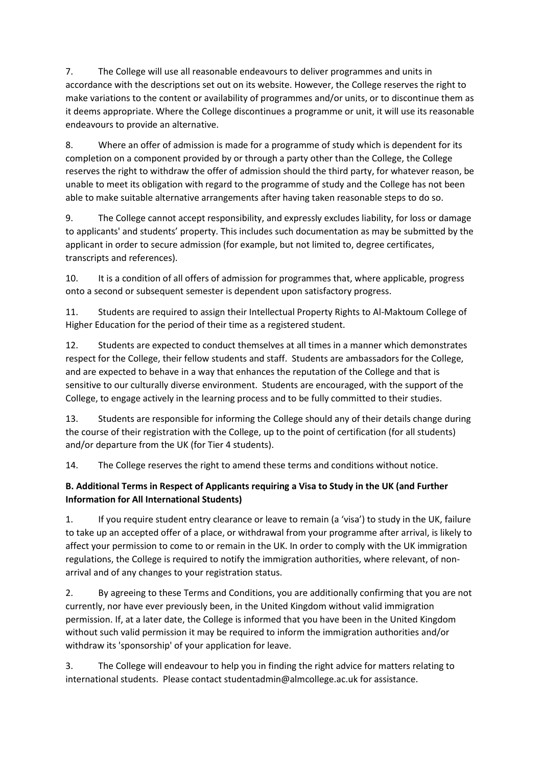7. The College will use all reasonable endeavours to deliver programmes and units in accordance with the descriptions set out on its website. However, the College reserves the right to make variations to the content or availability of programmes and/or units, or to discontinue them as it deems appropriate. Where the College discontinues a programme or unit, it will use its reasonable endeavours to provide an alternative.

8. Where an offer of admission is made for a programme of study which is dependent for its completion on a component provided by or through a party other than the College, the College reserves the right to withdraw the offer of admission should the third party, for whatever reason, be unable to meet its obligation with regard to the programme of study and the College has not been able to make suitable alternative arrangements after having taken reasonable steps to do so.

9. The College cannot accept responsibility, and expressly excludes liability, for loss or damage to applicants' and students' property. This includes such documentation as may be submitted by the applicant in order to secure admission (for example, but not limited to, degree certificates, transcripts and references).

10. It is a condition of all offers of admission for programmes that, where applicable, progress onto a second or subsequent semester is dependent upon satisfactory progress.

11. Students are required to assign their Intellectual Property Rights to Al-Maktoum College of Higher Education for the period of their time as a registered student.

12. Students are expected to conduct themselves at all times in a manner which demonstrates respect for the College, their fellow students and staff. Students are ambassadors for the College, and are expected to behave in a way that enhances the reputation of the College and that is sensitive to our culturally diverse environment. Students are encouraged, with the support of the College, to engage actively in the learning process and to be fully committed to their studies.

13. Students are responsible for informing the College should any of their details change during the course of their registration with the College, up to the point of certification (for all students) and/or departure from the UK (for Tier 4 students).

14. The College reserves the right to amend these terms and conditions without notice.

#### **B. Additional Terms in Respect of Applicants requiring a Visa to Study in the UK (and Further Information for All International Students)**

1. If you require student entry clearance or leave to remain (a 'visa') to study in the UK, failure to take up an accepted offer of a place, or withdrawal from your programme after arrival, is likely to affect your permission to come to or remain in the UK. In order to comply with the UK immigration regulations, the College is required to notify the immigration authorities, where relevant, of nonarrival and of any changes to your registration status.

2. By agreeing to these Terms and Conditions, you are additionally confirming that you are not currently, nor have ever previously been, in the United Kingdom without valid immigration permission. If, at a later date, the College is informed that you have been in the United Kingdom without such valid permission it may be required to inform the immigration authorities and/or withdraw its 'sponsorship' of your application for leave.

3. The College will endeavour to help you in finding the right advice for matters relating to international students. Please contact studentadmin@almcollege.ac.uk for assistance.